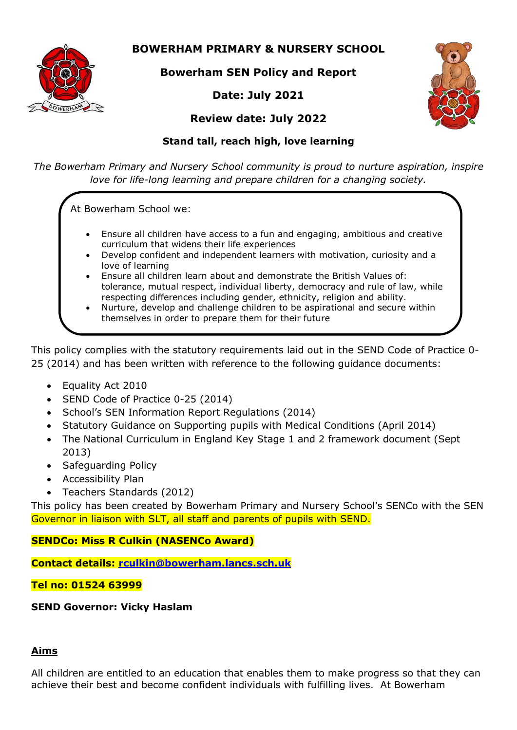

**BOWERHAM PRIMARY & NURSERY SCHOOL**

**Bowerham SEN Policy and Report**

# **Date: July 2021**



# **Review date: July 2022**

## **Stand tall, reach high, love learning**

*The Bowerham Primary and Nursery School community is proud to nurture aspiration, inspire love for life-long learning and prepare children for a changing society.*

At Bowerham School we:

- Ensure all children have access to a fun and engaging, ambitious and creative curriculum that widens their life experiences
- Develop confident and independent learners with motivation, curiosity and a love of learning
- Ensure all children learn about and demonstrate the British Values of: tolerance, mutual respect, individual liberty, democracy and rule of law, while respecting differences including gender, ethnicity, religion and ability.
- Nurture, develop and challenge children to be aspirational and secure within themselves in order to prepare them for their future

This policy complies with the statutory requirements laid out in the SEND Code of Practice 0- 25 (2014) and has been written with reference to the following guidance documents:

- Equality Act 2010
- SEND Code of Practice 0-25 (2014)
- School's SEN Information Report Regulations (2014)
- Statutory Guidance on Supporting pupils with Medical Conditions (April 2014)
- The National Curriculum in England Key Stage 1 and 2 framework document (Sept 2013)
- Safeguarding Policy
- Accessibility Plan
- Teachers Standards (2012)

This policy has been created by Bowerham Primary and Nursery School's SENCo with the SEN Governor in liaison with SLT, all staff and parents of pupils with SEND.

# **SENDCo: Miss R Culkin (NASENCo Award)**

**Contact details: [rculkin@bowerham.lancs.sch.uk](mailto:rculkin@bowerham.lancs.sch.uk)**

### **Tel no: 01524 63999**

**SEND Governor: Vicky Haslam**

### **Aims**

All children are entitled to an education that enables them to make progress so that they can achieve their best and become confident individuals with fulfilling lives. At Bowerham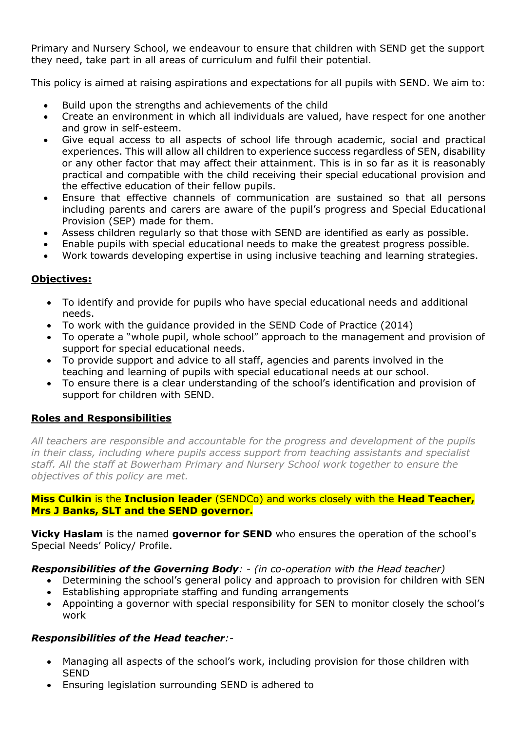Primary and Nursery School, we endeavour to ensure that children with SEND get the support they need, take part in all areas of curriculum and fulfil their potential.

This policy is aimed at raising aspirations and expectations for all pupils with SEND. We aim to:

- Build upon the strengths and achievements of the child
- Create an environment in which all individuals are valued, have respect for one another and grow in self-esteem.
- Give equal access to all aspects of school life through academic, social and practical experiences. This will allow all children to experience success regardless of SEN, disability or any other factor that may affect their attainment. This is in so far as it is reasonably practical and compatible with the child receiving their special educational provision and the effective education of their fellow pupils.
- Ensure that effective channels of communication are sustained so that all persons including parents and carers are aware of the pupil's progress and Special Educational Provision (SEP) made for them.
- Assess children regularly so that those with SEND are identified as early as possible.
- Enable pupils with special educational needs to make the greatest progress possible.
- Work towards developing expertise in using inclusive teaching and learning strategies.

### **Objectives:**

- To identify and provide for pupils who have special educational needs and additional needs.
- To work with the guidance provided in the SEND Code of Practice (2014)
- To operate a "whole pupil, whole school" approach to the management and provision of support for special educational needs.
- To provide support and advice to all staff, agencies and parents involved in the teaching and learning of pupils with special educational needs at our school.
- To ensure there is a clear understanding of the school's identification and provision of support for children with SEND.

### **Roles and Responsibilities**

*All teachers are responsible and accountable for the progress and development of the pupils in their class, including where pupils access support from teaching assistants and specialist staff. All the staff at Bowerham Primary and Nursery School work together to ensure the objectives of this policy are met.*

#### **Miss Culkin** is the **Inclusion leader** (SENDCo) and works closely with the **Head Teacher, Mrs J Banks, SLT and the SEND governor.**

**Vicky Haslam** is the named **governor for SEND** who ensures the operation of the school's Special Needs' Policy/ Profile.

#### *Responsibilities of the Governing Body: - (in co-operation with the Head teacher)*

- Determining the school's general policy and approach to provision for children with SEN
- Establishing appropriate staffing and funding arrangements
- Appointing a governor with special responsibility for SEN to monitor closely the school's work

### *Responsibilities of the Head teacher:-*

- Managing all aspects of the school's work, including provision for those children with SEND
- Ensuring legislation surrounding SEND is adhered to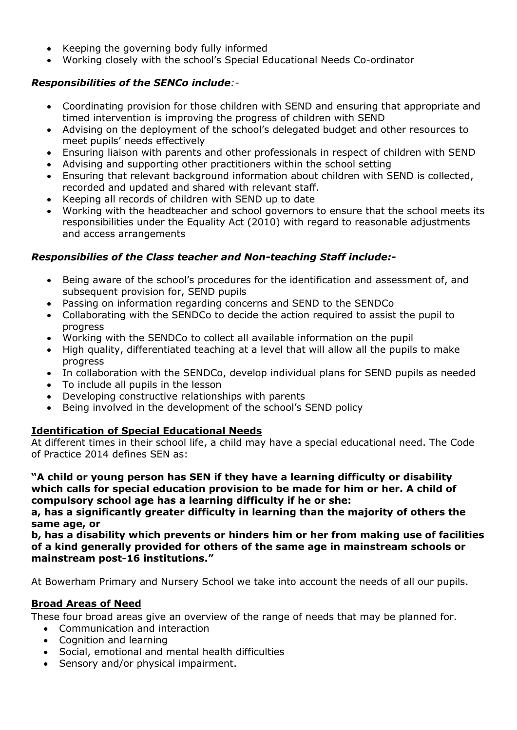- Keeping the governing body fully informed
- Working closely with the school's Special Educational Needs Co-ordinator

### *Responsibilities of the SENCo include:-*

- Coordinating provision for those children with SEND and ensuring that appropriate and timed intervention is improving the progress of children with SEND
- Advising on the deployment of the school's delegated budget and other resources to meet pupils' needs effectively
- Ensuring liaison with parents and other professionals in respect of children with SEND
- Advising and supporting other practitioners within the school setting
- Ensuring that relevant background information about children with SEND is collected, recorded and updated and shared with relevant staff.
- Keeping all records of children with SEND up to date
- Working with the headteacher and school governors to ensure that the school meets its responsibilities under the Equality Act (2010) with regard to reasonable adjustments and access arrangements

### *Responsibilies of the Class teacher and Non-teaching Staff include:-*

- Being aware of the school's procedures for the identification and assessment of, and subsequent provision for, SEND pupils
- Passing on information regarding concerns and SEND to the SENDCo
- Collaborating with the SENDCo to decide the action required to assist the pupil to progress
- Working with the SENDCo to collect all available information on the pupil
- High quality, differentiated teaching at a level that will allow all the pupils to make progress
- In collaboration with the SENDCo, develop individual plans for SEND pupils as needed
- To include all pupils in the lesson
- Developing constructive relationships with parents
- Being involved in the development of the school's SEND policy

### **Identification of Special Educational Needs**

At different times in their school life, a child may have a special educational need. The Code of Practice 2014 defines SEN as:

**"A child or young person has SEN if they have a learning difficulty or disability which calls for special education provision to be made for him or her. A child of compulsory school age has a learning difficulty if he or she:**

**a, has a significantly greater difficulty in learning than the majority of others the same age, or**

**b, has a disability which prevents or hinders him or her from making use of facilities of a kind generally provided for others of the same age in mainstream schools or mainstream post-16 institutions."**

At Bowerham Primary and Nursery School we take into account the needs of all our pupils.

# **Broad Areas of Need**

These four broad areas give an overview of the range of needs that may be planned for.

- Communication and interaction
- Cognition and learning
- Social, emotional and mental health difficulties
- Sensory and/or physical impairment.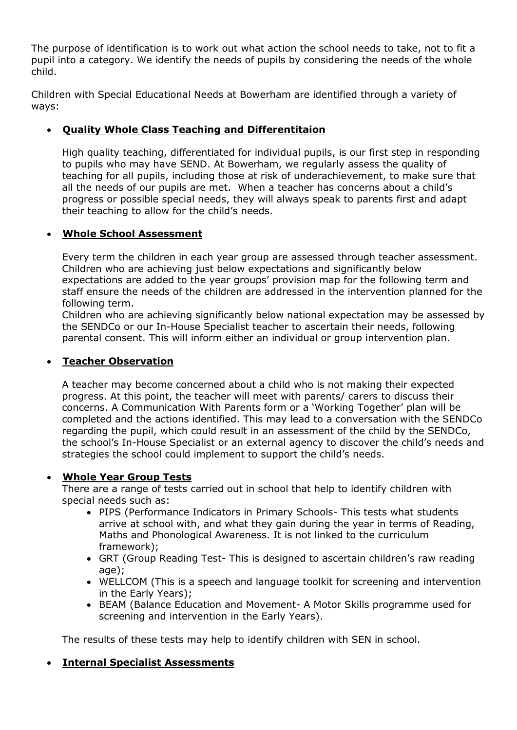The purpose of identification is to work out what action the school needs to take, not to fit a pupil into a category. We identify the needs of pupils by considering the needs of the whole child.

Children with Special Educational Needs at Bowerham are identified through a variety of ways:

### **Quality Whole Class Teaching and Differentitaion**

High quality teaching, differentiated for individual pupils, is our first step in responding to pupils who may have SEND. At Bowerham, we regularly assess the quality of teaching for all pupils, including those at risk of underachievement, to make sure that all the needs of our pupils are met. When a teacher has concerns about a child's progress or possible special needs, they will always speak to parents first and adapt their teaching to allow for the child's needs.

### **Whole School Assessment**

Every term the children in each year group are assessed through teacher assessment. Children who are achieving just below expectations and significantly below expectations are added to the year groups' provision map for the following term and staff ensure the needs of the children are addressed in the intervention planned for the following term.

Children who are achieving significantly below national expectation may be assessed by the SENDCo or our In-House Specialist teacher to ascertain their needs, following parental consent. This will inform either an individual or group intervention plan.

### **Teacher Observation**

A teacher may become concerned about a child who is not making their expected progress. At this point, the teacher will meet with parents/ carers to discuss their concerns. A Communication With Parents form or a 'Working Together' plan will be completed and the actions identified. This may lead to a conversation with the SENDCo regarding the pupil, which could result in an assessment of the child by the SENDCo, the school's In-House Specialist or an external agency to discover the child's needs and strategies the school could implement to support the child's needs.

#### **Whole Year Group Tests**

There are a range of tests carried out in school that help to identify children with special needs such as:

- PIPS (Performance Indicators in Primary Schools- This tests what students arrive at school with, and what they gain during the year in terms of Reading, Maths and Phonological Awareness. It is not linked to the curriculum framework);
- GRT (Group Reading Test- This is designed to ascertain children's raw reading age);
- WELLCOM (This is a speech and language toolkit for screening and intervention in the Early Years);
- BEAM (Balance Education and Movement- A Motor Skills programme used for screening and intervention in the Early Years).

The results of these tests may help to identify children with SEN in school.

### **Internal Specialist Assessments**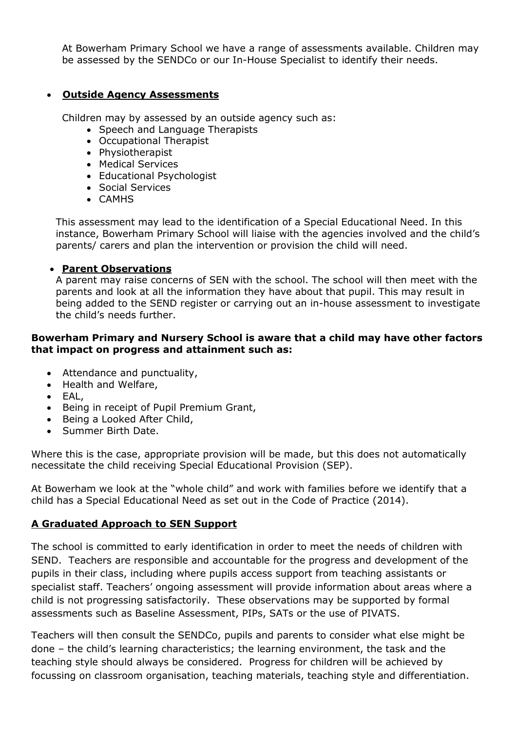At Bowerham Primary School we have a range of assessments available. Children may be assessed by the SENDCo or our In-House Specialist to identify their needs.

#### **Outside Agency Assessments**

Children may by assessed by an outside agency such as:

- Speech and Language Therapists
- Occupational Therapist
- Physiotherapist
- Medical Services
- Educational Psychologist
- Social Services
- CAMHS

This assessment may lead to the identification of a Special Educational Need. In this instance, Bowerham Primary School will liaise with the agencies involved and the child's parents/ carers and plan the intervention or provision the child will need.

#### **Parent Observations**

A parent may raise concerns of SEN with the school. The school will then meet with the parents and look at all the information they have about that pupil. This may result in being added to the SEND register or carrying out an in-house assessment to investigate the child's needs further.

#### **Bowerham Primary and Nursery School is aware that a child may have other factors that impact on progress and attainment such as:**

- Attendance and punctuality,
- Health and Welfare,
- EAL,
- Being in receipt of Pupil Premium Grant,
- Being a Looked After Child,
- Summer Birth Date.

Where this is the case, appropriate provision will be made, but this does not automatically necessitate the child receiving Special Educational Provision (SEP).

At Bowerham we look at the "whole child" and work with families before we identify that a child has a Special Educational Need as set out in the Code of Practice (2014).

#### **A Graduated Approach to SEN Support**

The school is committed to early identification in order to meet the needs of children with SEND. Teachers are responsible and accountable for the progress and development of the pupils in their class, including where pupils access support from teaching assistants or specialist staff. Teachers' ongoing assessment will provide information about areas where a child is not progressing satisfactorily. These observations may be supported by formal assessments such as Baseline Assessment, PIPs, SATs or the use of PIVATS.

Teachers will then consult the SENDCo, pupils and parents to consider what else might be done – the child's learning characteristics; the learning environment, the task and the teaching style should always be considered. Progress for children will be achieved by focussing on classroom organisation, teaching materials, teaching style and differentiation.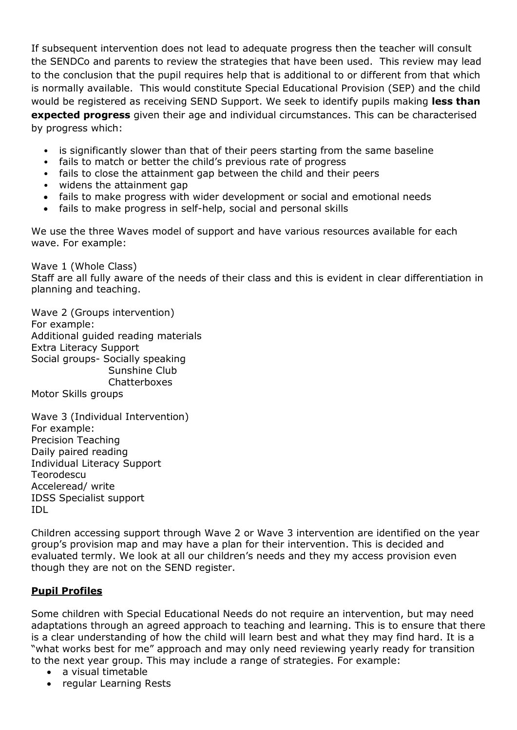If subsequent intervention does not lead to adequate progress then the teacher will consult the SENDCo and parents to review the strategies that have been used. This review may lead to the conclusion that the pupil requires help that is additional to or different from that which is normally available. This would constitute Special Educational Provision (SEP) and the child would be registered as receiving SEND Support. We seek to identify pupils making **less than expected progress** given their age and individual circumstances. This can be characterised by progress which:

- is significantly slower than that of their peers starting from the same baseline
- fails to match or better the child's previous rate of progress
- fails to close the attainment gap between the child and their peers
- widens the attainment gap
- fails to make progress with wider development or social and emotional needs
- fails to make progress in self-help, social and personal skills

We use the three Waves model of support and have various resources available for each wave. For example:

Wave 1 (Whole Class) Staff are all fully aware of the needs of their class and this is evident in clear differentiation in planning and teaching.

Wave 2 (Groups intervention) For example: Additional guided reading materials Extra Literacy Support Social groups- Socially speaking Sunshine Club **Chatterboxes** Motor Skills groups

Wave 3 (Individual Intervention) For example: Precision Teaching Daily paired reading Individual Literacy Support Teorodescu Acceleread/ write IDSS Specialist support IDL

Children accessing support through Wave 2 or Wave 3 intervention are identified on the year group's provision map and may have a plan for their intervention. This is decided and evaluated termly. We look at all our children's needs and they my access provision even though they are not on the SEND register.

#### **Pupil Profiles**

Some children with Special Educational Needs do not require an intervention, but may need adaptations through an agreed approach to teaching and learning. This is to ensure that there is a clear understanding of how the child will learn best and what they may find hard. It is a "what works best for me" approach and may only need reviewing yearly ready for transition to the next year group. This may include a range of strategies. For example:

- a visual timetable
- regular Learning Rests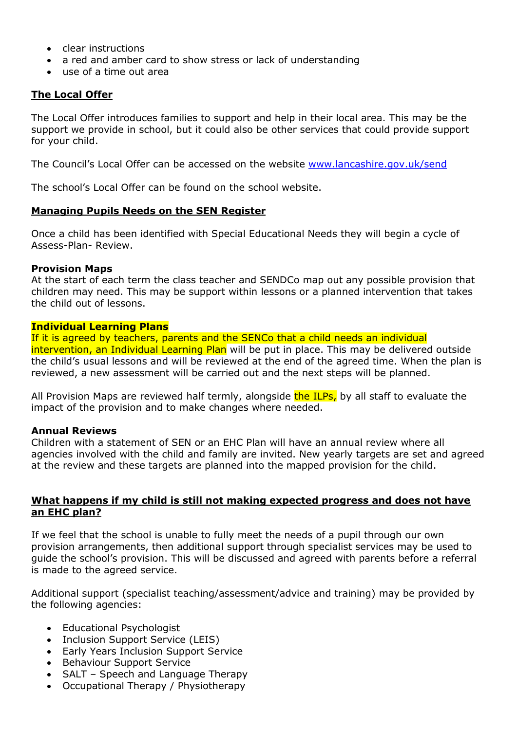- clear instructions
- a red and amber card to show stress or lack of understanding
- use of a time out area

#### **The Local Offer**

The Local Offer introduces families to support and help in their local area. This may be the support we provide in school, but it could also be other services that could provide support for your child.

The Council's Local Offer can be accessed on the website [www.lancashire.gov.uk/send](http://www.lancashire.gov.uk/send)

The school's Local Offer can be found on the school website.

#### **Managing Pupils Needs on the SEN Register**

Once a child has been identified with Special Educational Needs they will begin a cycle of Assess-Plan- Review.

#### **Provision Maps**

At the start of each term the class teacher and SENDCo map out any possible provision that children may need. This may be support within lessons or a planned intervention that takes the child out of lessons.

#### **Individual Learning Plans**

If it is agreed by teachers, parents and the SENCo that a child needs an individual intervention, an Individual Learning Plan will be put in place. This may be delivered outside the child's usual lessons and will be reviewed at the end of the agreed time. When the plan is reviewed, a new assessment will be carried out and the next steps will be planned.

All Provision Maps are reviewed half termly, alongside the ILPs, by all staff to evaluate the impact of the provision and to make changes where needed.

#### **Annual Reviews**

Children with a statement of SEN or an EHC Plan will have an annual review where all agencies involved with the child and family are invited. New yearly targets are set and agreed at the review and these targets are planned into the mapped provision for the child.

#### **What happens if my child is still not making expected progress and does not have an EHC plan?**

If we feel that the school is unable to fully meet the needs of a pupil through our own provision arrangements, then additional support through specialist services may be used to guide the school's provision. This will be discussed and agreed with parents before a referral is made to the agreed service.

Additional support (specialist teaching/assessment/advice and training) may be provided by the following agencies:

- Educational Psychologist
- Inclusion Support Service (LEIS)
- Early Years Inclusion Support Service
- Behaviour Support Service
- SALT Speech and Language Therapy
- Occupational Therapy / Physiotherapy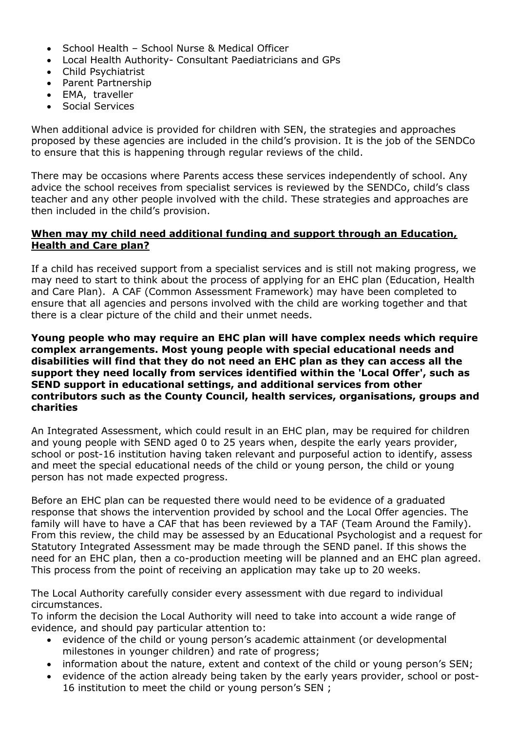- School Health School Nurse & Medical Officer
- Local Health Authority- Consultant Paediatricians and GPs
- Child Psychiatrist
- Parent Partnership
- EMA, traveller
- Social Services

When additional advice is provided for children with SEN, the strategies and approaches proposed by these agencies are included in the child's provision. It is the job of the SENDCo to ensure that this is happening through regular reviews of the child.

There may be occasions where Parents access these services independently of school. Any advice the school receives from specialist services is reviewed by the SENDCo, child's class teacher and any other people involved with the child. These strategies and approaches are then included in the child's provision.

#### **When may my child need additional funding and support through an Education, Health and Care plan?**

If a child has received support from a specialist services and is still not making progress, we may need to start to think about the process of applying for an EHC plan (Education, Health and Care Plan). A CAF (Common Assessment Framework) may have been completed to ensure that all agencies and persons involved with the child are working together and that there is a clear picture of the child and their unmet needs.

**Young people who may require an EHC plan will have complex needs which require complex arrangements. Most young people with special educational needs and disabilities will find that they do not need an EHC plan as they can access all the support they need locally from services identified within the 'Local Offer', such as SEND support in educational settings, and additional services from other contributors such as the County Council, health services, organisations, groups and charities** 

An Integrated Assessment, which could result in an EHC plan, may be required for children and young people with SEND aged 0 to 25 years when, despite the early years provider, school or post-16 institution having taken relevant and purposeful action to identify, assess and meet the special educational needs of the child or young person, the child or young person has not made expected progress.

Before an EHC plan can be requested there would need to be evidence of a graduated response that shows the intervention provided by school and the Local Offer agencies. The family will have to have a CAF that has been reviewed by a TAF (Team Around the Family). From this review, the child may be assessed by an Educational Psychologist and a request for Statutory Integrated Assessment may be made through the SEND panel. If this shows the need for an EHC plan, then a co-production meeting will be planned and an EHC plan agreed. This process from the point of receiving an application may take up to 20 weeks.

The Local Authority carefully consider every assessment with due regard to individual circumstances.

To inform the decision the Local Authority will need to take into account a wide range of evidence, and should pay particular attention to:

- evidence of the child or young person's academic attainment (or developmental milestones in younger children) and rate of progress;
- information about the nature, extent and context of the child or young person's SEN;
- evidence of the action already being taken by the early years provider, school or post-16 institution to meet the child or young person's SEN ;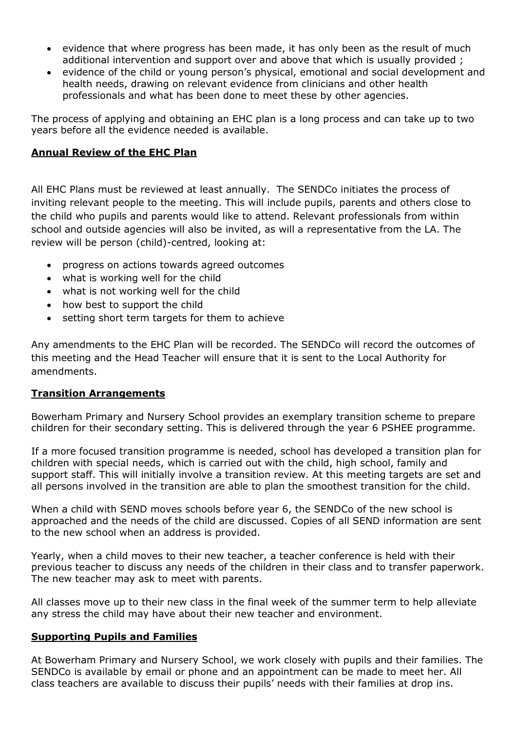- evidence that where progress has been made, it has only been as the result of much additional intervention and support over and above that which is usually provided ;
- evidence of the child or young person's physical, emotional and social development and health needs, drawing on relevant evidence from clinicians and other health professionals and what has been done to meet these by other agencies.

The process of applying and obtaining an EHC plan is a long process and can take up to two years before all the evidence needed is available.

#### **Annual Review of the EHC Plan**

All EHC Plans must be reviewed at least annually. The SENDCo initiates the process of inviting relevant people to the meeting. This will include pupils, parents and others close to the child who pupils and parents would like to attend. Relevant professionals from within school and outside agencies will also be invited, as will a representative from the LA. The review will be person (child)-centred, looking at:

- progress on actions towards agreed outcomes
- what is working well for the child
- what is not working well for the child
- how best to support the child
- setting short term targets for them to achieve

Any amendments to the EHC Plan will be recorded. The SENDCo will record the outcomes of this meeting and the Head Teacher will ensure that it is sent to the Local Authority for amendments.

#### **Transition Arrangements**

Bowerham Primary and Nursery School provides an exemplary transition scheme to prepare children for their secondary setting. This is delivered through the year 6 PSHEE programme.

If a more focused transition programme is needed, school has developed a transition plan for children with special needs, which is carried out with the child, high school, family and support staff. This will initially involve a transition review. At this meeting targets are set and all persons involved in the transition are able to plan the smoothest transition for the child.

When a child with SEND moves schools before year 6, the SENDCo of the new school is approached and the needs of the child are discussed. Copies of all SEND information are sent to the new school when an address is provided.

Yearly, when a child moves to their new teacher, a teacher conference is held with their previous teacher to discuss any needs of the children in their class and to transfer paperwork. The new teacher may ask to meet with parents.

All classes move up to their new class in the final week of the summer term to help alleviate any stress the child may have about their new teacher and environment.

#### **Supporting Pupils and Families**

At Bowerham Primary and Nursery School, we work closely with pupils and their families. The SENDCo is available by email or phone and an appointment can be made to meet her. All class teachers are available to discuss their pupils' needs with their families at drop ins.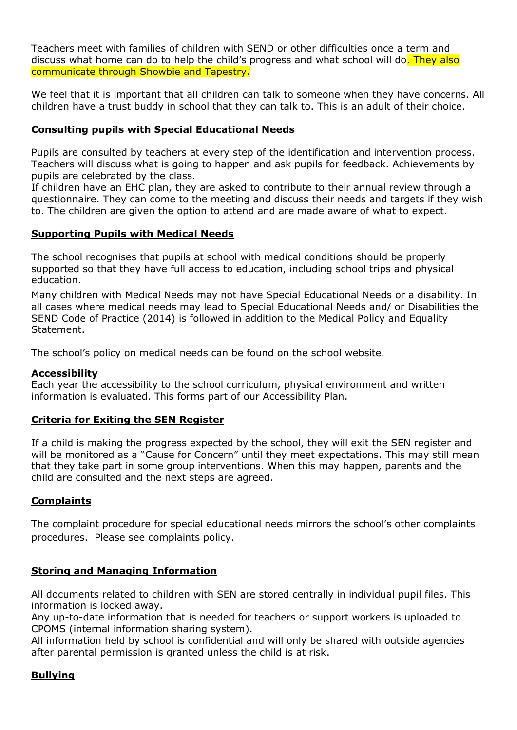Teachers meet with families of children with SEND or other difficulties once a term and discuss what home can do to help the child's progress and what school will do. They also communicate through Showbie and Tapestry.

We feel that it is important that all children can talk to someone when they have concerns. All children have a trust buddy in school that they can talk to. This is an adult of their choice.

#### **Consulting pupils with Special Educational Needs**

Pupils are consulted by teachers at every step of the identification and intervention process. Teachers will discuss what is going to happen and ask pupils for feedback. Achievements by pupils are celebrated by the class.

If children have an EHC plan, they are asked to contribute to their annual review through a questionnaire. They can come to the meeting and discuss their needs and targets if they wish to. The children are given the option to attend and are made aware of what to expect.

### **Supporting Pupils with Medical Needs**

The school recognises that pupils at school with medical conditions should be properly supported so that they have full access to education, including school trips and physical education.

Many children with Medical Needs may not have Special Educational Needs or a disability. In all cases where medical needs may lead to Special Educational Needs and/ or Disabilities the SEND Code of Practice (2014) is followed in addition to the Medical Policy and Equality Statement.

The school's policy on medical needs can be found on the school website.

#### **Accessibility**

Each year the accessibility to the school curriculum, physical environment and written information is evaluated. This forms part of our Accessibility Plan.

#### **Criteria for Exiting the SEN Register**

If a child is making the progress expected by the school, they will exit the SEN register and will be monitored as a "Cause for Concern" until they meet expectations. This may still mean that they take part in some group interventions. When this may happen, parents and the child are consulted and the next steps are agreed.

### **Complaints**

The complaint procedure for special educational needs mirrors the school's other complaints procedures. Please see complaints policy.

### **Storing and Managing Information**

All documents related to children with SEN are stored centrally in individual pupil files. This information is locked away.

Any up-to-date information that is needed for teachers or support workers is uploaded to CPOMS (internal information sharing system).

All information held by school is confidential and will only be shared with outside agencies after parental permission is granted unless the child is at risk.

# **Bullying**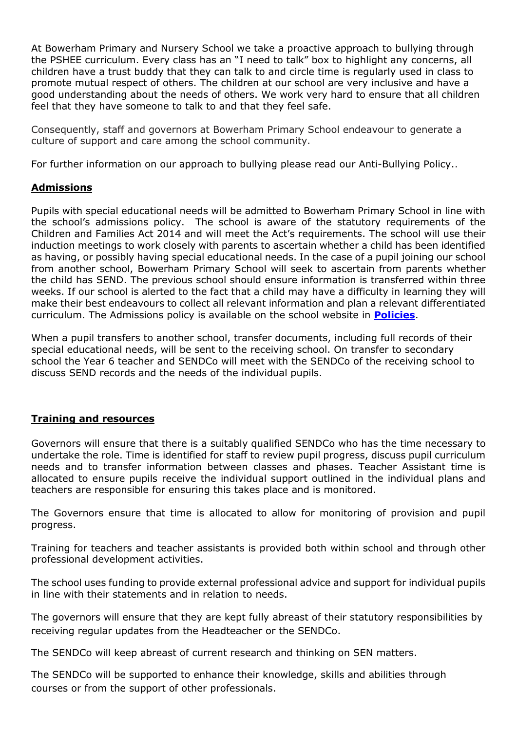At Bowerham Primary and Nursery School we take a proactive approach to bullying through the PSHEE curriculum. Every class has an "I need to talk" box to highlight any concerns, all children have a trust buddy that they can talk to and circle time is regularly used in class to promote mutual respect of others. The children at our school are very inclusive and have a good understanding about the needs of others. We work very hard to ensure that all children feel that they have someone to talk to and that they feel safe.

Consequently, staff and governors at Bowerham Primary School endeavour to generate a culture of support and care among the school community.

For further information on our approach to bullying please read our Anti-Bullying Policy..

### **Admissions**

Pupils with special educational needs will be admitted to Bowerham Primary School in line with the school's admissions policy. The school is aware of the statutory requirements of the Children and Families Act 2014 and will meet the Act's requirements. The school will use their induction meetings to work closely with parents to ascertain whether a child has been identified as having, or possibly having special educational needs. In the case of a pupil joining our school from another school, Bowerham Primary School will seek to ascertain from parents whether the child has SEND. The previous school should ensure information is transferred within three weeks. If our school is alerted to the fact that a child may have a difficulty in learning they will make their best endeavours to collect all relevant information and plan a relevant differentiated curriculum. The Admissions policy is available on the school website in **[Policies](http://www.bowerham.lancs.sch.uk/index.php?category_id=121)**.

When a pupil transfers to another school, transfer documents, including full records of their special educational needs, will be sent to the receiving school. On transfer to secondary school the Year 6 teacher and SENDCo will meet with the SENDCo of the receiving school to discuss SEND records and the needs of the individual pupils.

### **Training and resources**

Governors will ensure that there is a suitably qualified SENDCo who has the time necessary to undertake the role. Time is identified for staff to review pupil progress, discuss pupil curriculum needs and to transfer information between classes and phases. Teacher Assistant time is allocated to ensure pupils receive the individual support outlined in the individual plans and teachers are responsible for ensuring this takes place and is monitored.

The Governors ensure that time is allocated to allow for monitoring of provision and pupil progress.

Training for teachers and teacher assistants is provided both within school and through other professional development activities.

The school uses funding to provide external professional advice and support for individual pupils in line with their statements and in relation to needs.

The governors will ensure that they are kept fully abreast of their statutory responsibilities by receiving regular updates from the Headteacher or the SENDCo.

The SENDCo will keep abreast of current research and thinking on SEN matters.

The SENDCo will be supported to enhance their knowledge, skills and abilities through courses or from the support of other professionals.